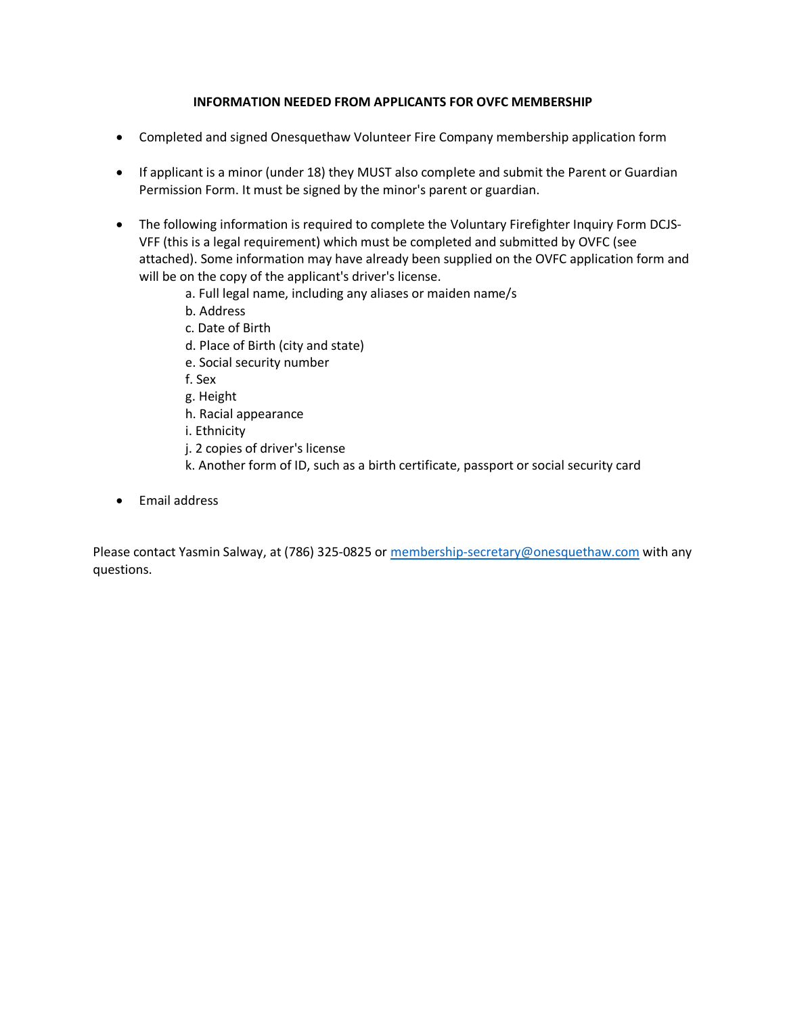## **INFORMATION NEEDED FROM APPLICANTS FOR OVFC MEMBERSHIP**

- Completed and signed Onesquethaw Volunteer Fire Company membership application form
- If applicant is a minor (under 18) they MUST also complete and submit the Parent or Guardian Permission Form. It must be signed by the minor's parent or guardian.
- The following information is required to complete the Voluntary Firefighter Inquiry Form DCJS-VFF (this is a legal requirement) which must be completed and submitted by OVFC (see attached). Some information may have already been supplied on the OVFC application form and will be on the copy of the applicant's driver's license.
	- a. Full legal name, including any aliases or maiden name/s
	- b. Address
	- c. Date of Birth
	- d. Place of Birth (city and state)
	- e. Social security number
	- f. Sex
	- g. Height
	- h. Racial appearance
	- i. Ethnicity
	- j. 2 copies of driver's license
	- k. Another form of ID, such as a birth certificate, passport or social security card
- Email address

Please contact Yasmin Salway, at (786) 325-0825 or membership-secretary@onesquethaw.com with any questions.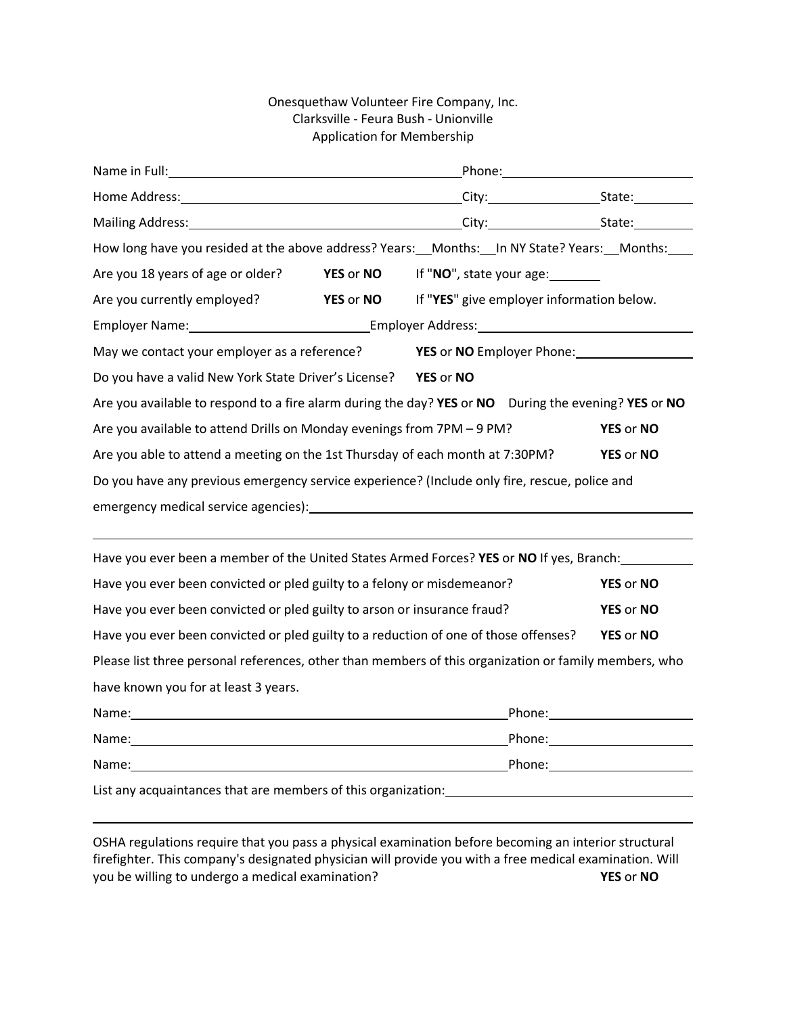## Onesquethaw Volunteer Fire Company, Inc. Clarksville - Feura Bush - Unionville Application for Membership

| How long have you resided at the above address? Years: __Months: __In NY State? Years: __Months: ___                                                                                                                          |                  |                                  |                                           |                  |  |
|-------------------------------------------------------------------------------------------------------------------------------------------------------------------------------------------------------------------------------|------------------|----------------------------------|-------------------------------------------|------------------|--|
| Are you 18 years of age or older? <b>YES</b> or <b>NO</b>                                                                                                                                                                     |                  |                                  | If "NO", state your age:                  |                  |  |
| Are you currently employed?                                                                                                                                                                                                   | <b>YES or NO</b> |                                  | If "YES" give employer information below. |                  |  |
| Employer Name: The Communication of the Communication of the Communication of the Communication of the Communication of the Communication of the Communication of the Communication of the Communication of the Communication |                  |                                  |                                           |                  |  |
| May we contact your employer as a reference?                                                                                                                                                                                  |                  | <b>YES</b> or NO Employer Phone: |                                           |                  |  |
| Do you have a valid New York State Driver's License? YES or NO                                                                                                                                                                |                  |                                  |                                           |                  |  |
| Are you available to respond to a fire alarm during the day? YES or NO During the evening? YES or NO                                                                                                                          |                  |                                  |                                           |                  |  |
| Are you available to attend Drills on Monday evenings from 7PM - 9 PM?<br>YES or NO                                                                                                                                           |                  |                                  |                                           |                  |  |
| Are you able to attend a meeting on the 1st Thursday of each month at 7:30PM?<br>YES or NO                                                                                                                                    |                  |                                  |                                           |                  |  |
| Do you have any previous emergency service experience? (Include only fire, rescue, police and                                                                                                                                 |                  |                                  |                                           |                  |  |
|                                                                                                                                                                                                                               |                  |                                  |                                           |                  |  |
|                                                                                                                                                                                                                               |                  |                                  |                                           |                  |  |
| Have you ever been a member of the United States Armed Forces? YES or NO If yes, Branch:                                                                                                                                      |                  |                                  |                                           |                  |  |
| Have you ever been convicted or pled guilty to a felony or misdemeanor?                                                                                                                                                       |                  |                                  |                                           | <b>YES or NO</b> |  |
| Have you ever been convicted or pled guilty to arson or insurance fraud?<br>YES or NO                                                                                                                                         |                  |                                  |                                           |                  |  |
| Have you ever been convicted or pled guilty to a reduction of one of those offenses?<br>YES or NO                                                                                                                             |                  |                                  |                                           |                  |  |
| Please list three personal references, other than members of this organization or family members, who                                                                                                                         |                  |                                  |                                           |                  |  |
| have known you for at least 3 years.                                                                                                                                                                                          |                  |                                  |                                           |                  |  |
|                                                                                                                                                                                                                               |                  |                                  |                                           |                  |  |
|                                                                                                                                                                                                                               |                  |                                  |                                           |                  |  |
|                                                                                                                                                                                                                               |                  |                                  |                                           |                  |  |
| List any acquaintances that are members of this organization: Latter and the manuscription of the state of the                                                                                                                |                  |                                  |                                           |                  |  |

OSHA regulations require that you pass a physical examination before becoming an interior structural firefighter. This company's designated physician will provide you with a free medical examination. Will you be willing to undergo a medical examination? **YES** or **NO**